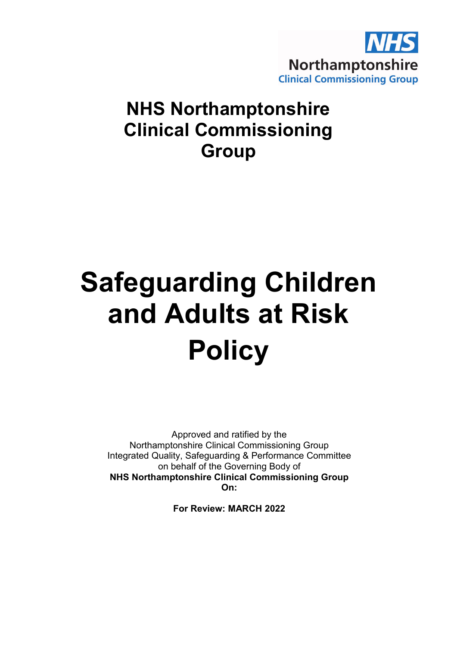

# **NHS Northamptonshire Clinical Commissioning Group**

# **Safeguarding Children and Adults at Risk Policy**

Approved and ratified by the Northamptonshire Clinical Commissioning Group Integrated Quality, Safeguarding & Performance Committee on behalf of the Governing Body of **NHS Northamptonshire Clinical Commissioning Group On:**

**For Review: MARCH 2022**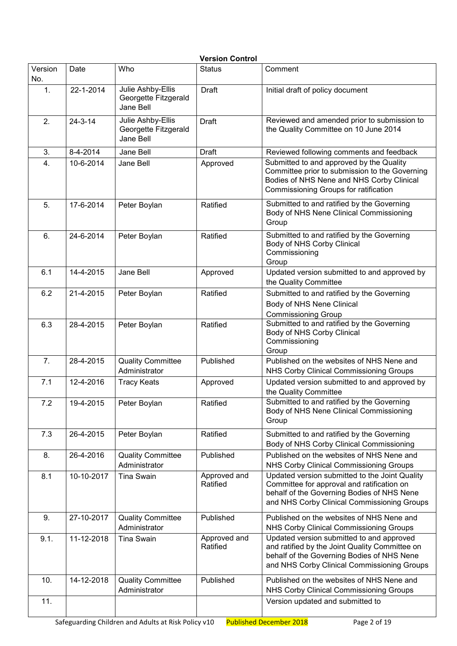| <b>Version Control</b> |               |                                                        |                          |                                                                                                                                                                                           |  |  |  |  |
|------------------------|---------------|--------------------------------------------------------|--------------------------|-------------------------------------------------------------------------------------------------------------------------------------------------------------------------------------------|--|--|--|--|
| Version<br>No.         | Date          | Who                                                    | <b>Status</b>            | Comment                                                                                                                                                                                   |  |  |  |  |
| $\mathbf{1}$ .         | 22-1-2014     | Julie Ashby-Ellis<br>Georgette Fitzgerald<br>Jane Bell | Draft                    | Initial draft of policy document                                                                                                                                                          |  |  |  |  |
| 2.                     | $24 - 3 - 14$ | Julie Ashby-Ellis<br>Georgette Fitzgerald<br>Jane Bell | <b>Draft</b>             | Reviewed and amended prior to submission to<br>the Quality Committee on 10 June 2014                                                                                                      |  |  |  |  |
| 3.                     | 8-4-2014      | Jane Bell                                              | <b>Draft</b>             | Reviewed following comments and feedback                                                                                                                                                  |  |  |  |  |
| 4.                     | 10-6-2014     | Jane Bell                                              | Approved                 | Submitted to and approved by the Quality<br>Committee prior to submission to the Governing<br>Bodies of NHS Nene and NHS Corby Clinical<br>Commissioning Groups for ratification          |  |  |  |  |
| 5.                     | 17-6-2014     | Peter Boylan                                           | Ratified                 | Submitted to and ratified by the Governing<br>Body of NHS Nene Clinical Commissioning<br>Group                                                                                            |  |  |  |  |
| 6.                     | 24-6-2014     | Peter Boylan                                           | Ratified                 | Submitted to and ratified by the Governing<br>Body of NHS Corby Clinical<br>Commissioning<br>Group                                                                                        |  |  |  |  |
| 6.1                    | 14-4-2015     | Jane Bell                                              | Approved                 | Updated version submitted to and approved by<br>the Quality Committee                                                                                                                     |  |  |  |  |
| 6.2                    | 21-4-2015     | Peter Boylan                                           | Ratified                 | Submitted to and ratified by the Governing<br>Body of NHS Nene Clinical<br><b>Commissioning Group</b>                                                                                     |  |  |  |  |
| 6.3                    | 28-4-2015     | Peter Boylan                                           | Ratified                 | Submitted to and ratified by the Governing<br>Body of NHS Corby Clinical<br>Commissioning<br>Group                                                                                        |  |  |  |  |
| 7.                     | 28-4-2015     | <b>Quality Committee</b><br>Administrator              | Published                | Published on the websites of NHS Nene and<br>NHS Corby Clinical Commissioning Groups                                                                                                      |  |  |  |  |
| 7.1                    | 12-4-2016     | <b>Tracy Keats</b>                                     | Approved                 | Updated version submitted to and approved by<br>the Quality Committee                                                                                                                     |  |  |  |  |
| 7.2                    | 19-4-2015     | Peter Boylan                                           | Ratified                 | Submitted to and ratified by the Governing<br>Body of NHS Nene Clinical Commissioning<br>Group                                                                                            |  |  |  |  |
| 7.3                    | 26-4-2015     | Peter Boylan                                           | Ratified                 | Submitted to and ratified by the Governing<br>Body of NHS Corby Clinical Commissioning                                                                                                    |  |  |  |  |
| 8.                     | 26-4-2016     | <b>Quality Committee</b><br>Administrator              | Published                | Published on the websites of NHS Nene and<br><b>NHS Corby Clinical Commissioning Groups</b>                                                                                               |  |  |  |  |
| 8.1                    | 10-10-2017    | <b>Tina Swain</b>                                      | Approved and<br>Ratified | Updated version submitted to the Joint Quality<br>Committee for approval and ratification on<br>behalf of the Governing Bodies of NHS Nene<br>and NHS Corby Clinical Commissioning Groups |  |  |  |  |
| 9.                     | 27-10-2017    | <b>Quality Committee</b><br>Administrator              | Published                | Published on the websites of NHS Nene and<br><b>NHS Corby Clinical Commissioning Groups</b>                                                                                               |  |  |  |  |
| 9.1.                   | 11-12-2018    | <b>Tina Swain</b>                                      | Approved and<br>Ratified | Updated version submitted to and approved<br>and ratified by the Joint Quality Committee on<br>behalf of the Governing Bodies of NHS Nene<br>and NHS Corby Clinical Commissioning Groups  |  |  |  |  |
| 10.                    | 14-12-2018    | <b>Quality Committee</b><br>Administrator              | Published                | Published on the websites of NHS Nene and<br>NHS Corby Clinical Commissioning Groups                                                                                                      |  |  |  |  |
| 11.                    |               |                                                        |                          | Version updated and submitted to                                                                                                                                                          |  |  |  |  |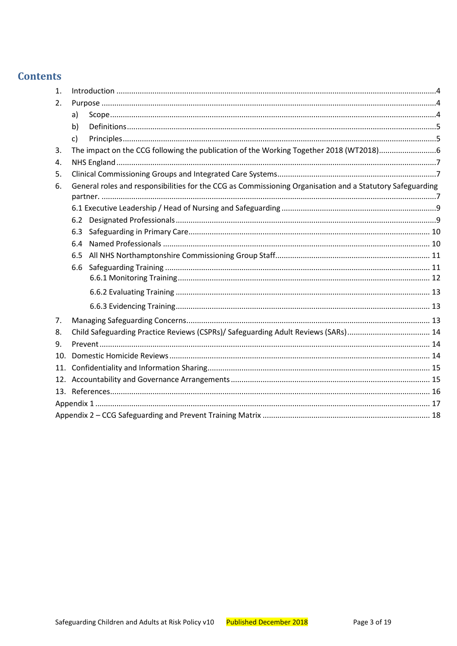# **Contents**

| a)  |                                                                                                                                                                                                       |
|-----|-------------------------------------------------------------------------------------------------------------------------------------------------------------------------------------------------------|
| b)  |                                                                                                                                                                                                       |
| c)  |                                                                                                                                                                                                       |
|     |                                                                                                                                                                                                       |
|     |                                                                                                                                                                                                       |
|     |                                                                                                                                                                                                       |
|     |                                                                                                                                                                                                       |
|     |                                                                                                                                                                                                       |
|     |                                                                                                                                                                                                       |
| 6.3 |                                                                                                                                                                                                       |
| 6.4 |                                                                                                                                                                                                       |
| 6.5 |                                                                                                                                                                                                       |
| 6.6 |                                                                                                                                                                                                       |
|     |                                                                                                                                                                                                       |
|     |                                                                                                                                                                                                       |
|     |                                                                                                                                                                                                       |
|     |                                                                                                                                                                                                       |
|     |                                                                                                                                                                                                       |
|     |                                                                                                                                                                                                       |
|     |                                                                                                                                                                                                       |
|     |                                                                                                                                                                                                       |
|     |                                                                                                                                                                                                       |
|     |                                                                                                                                                                                                       |
|     |                                                                                                                                                                                                       |
|     |                                                                                                                                                                                                       |
| 11. | General roles and responsibilities for the CCG as Commissioning Organisation and a Statutory Safeguarding<br>6.2<br>Child Safeguarding Practice Reviews (CSPRs)/ Safeguarding Adult Reviews (SARs) 14 |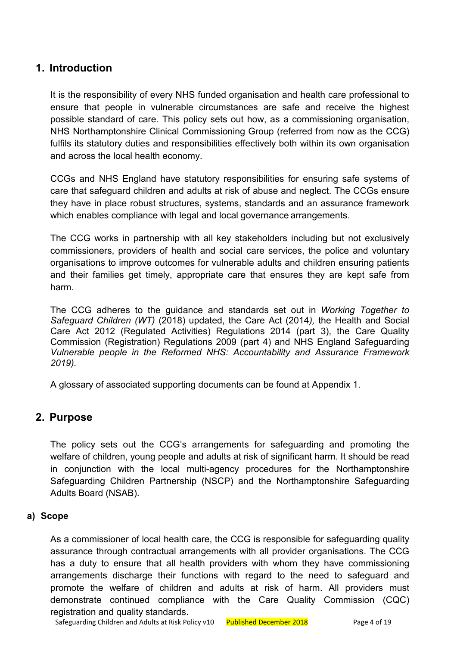# <span id="page-3-0"></span>**1. Introduction**

It is the responsibility of every NHS funded organisation and health care professional to ensure that people in vulnerable circumstances are safe and receive the highest possible standard of care. This policy sets out how, as a commissioning organisation, NHS Northamptonshire Clinical Commissioning Group (referred from now as the CCG) fulfils its statutory duties and responsibilities effectively both within its own organisation and across the local health economy.

CCGs and NHS England have statutory responsibilities for ensuring safe systems of care that safeguard children and adults at risk of abuse and neglect. The CCGs ensure they have in place robust structures, systems, standards and an assurance framework which enables compliance with legal and local governance arrangements.

The CCG works in partnership with all key stakeholders including but not exclusively commissioners, providers of health and social care services, the police and voluntary organisations to improve outcomes for vulnerable adults and children ensuring patients and their families get timely, appropriate care that ensures they are kept safe from harm.

The CCG adheres to the guidance and standards set out in *Working Together to Safeguard Children (WT)* (2018) updated, the Care Act (2014*),* the Health and Social Care Act 2012 (Regulated Activities) Regulations 2014 (part 3), the Care Quality Commission (Registration) Regulations 2009 (part 4) and NHS England Safeguarding *Vulnerable people in the Reformed NHS: Accountability and Assurance Framework 2019).*

A glossary of associated supporting documents can be found at Appendix 1.

#### <span id="page-3-1"></span>**2. Purpose**

The policy sets out the CCG's arrangements for safeguarding and promoting the welfare of children, young people and adults at risk of significant harm. It should be read in conjunction with the local multi-agency procedures for the Northamptonshire Safeguarding Children Partnership (NSCP) and the Northamptonshire Safeguarding Adults Board (NSAB).

#### <span id="page-3-2"></span>**a) Scope**

As a commissioner of local health care, the CCG is responsible for safeguarding quality assurance through contractual arrangements with all provider organisations. The CCG has a duty to ensure that all health providers with whom they have commissioning arrangements discharge their functions with regard to the need to safeguard and promote the welfare of children and adults at risk of harm. All providers must demonstrate continued compliance with the Care Quality Commission (CQC) registration and quality standards.

Safeguarding Children and Adults at Risk Policy v10 Published December 2018 Page 4 of 19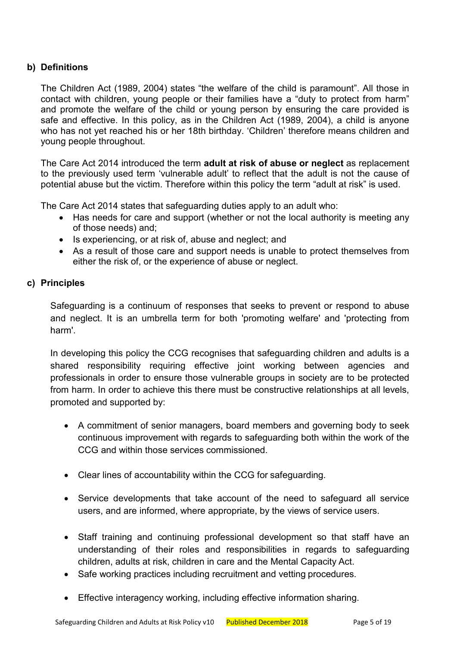#### <span id="page-4-0"></span>**b) Definitions**

The Children Act (1989, 2004) states "the welfare of the child is paramount". All those in contact with children, young people or their families have a "duty to protect from harm" and promote the welfare of the child or young person by ensuring the care provided is safe and effective. In this policy, as in the Children Act (1989, 2004), a child is anyone who has not yet reached his or her 18th birthday. 'Children' therefore means children and young people throughout.

The Care Act 2014 introduced the term **adult at risk of abuse or neglect** as replacement to the previously used term 'vulnerable adult' to reflect that the adult is not the cause of potential abuse but the victim. Therefore within this policy the term "adult at risk" is used.

The Care Act 2014 states that safeguarding duties apply to an adult who:

- Has needs for care and support (whether or not the local authority is meeting any of those needs) and;
- Is experiencing, or at risk of, abuse and neglect; and
- As a result of those care and support needs is unable to protect themselves from either the risk of, or the experience of abuse or neglect.

#### <span id="page-4-1"></span>**c) Principles**

Safeguarding is a continuum of responses that seeks to prevent or respond to abuse and neglect. It is an umbrella term for both 'promoting welfare' and 'protecting from harm'.

In developing this policy the CCG recognises that safeguarding children and adults is a shared responsibility requiring effective joint working between agencies and professionals in order to ensure those vulnerable groups in society are to be protected from harm. In order to achieve this there must be constructive relationships at all levels, promoted and supported by:

- A commitment of senior managers, board members and governing body to seek continuous improvement with regards to safeguarding both within the work of the CCG and within those services commissioned.
- Clear lines of accountability within the CCG for safeguarding.
- Service developments that take account of the need to safeguard all service users, and are informed, where appropriate, by the views of service users.
- Staff training and continuing professional development so that staff have an understanding of their roles and responsibilities in regards to safeguarding children, adults at risk, children in care and the Mental Capacity Act.
- Safe working practices including recruitment and vetting procedures.
- Effective interagency working, including effective information sharing.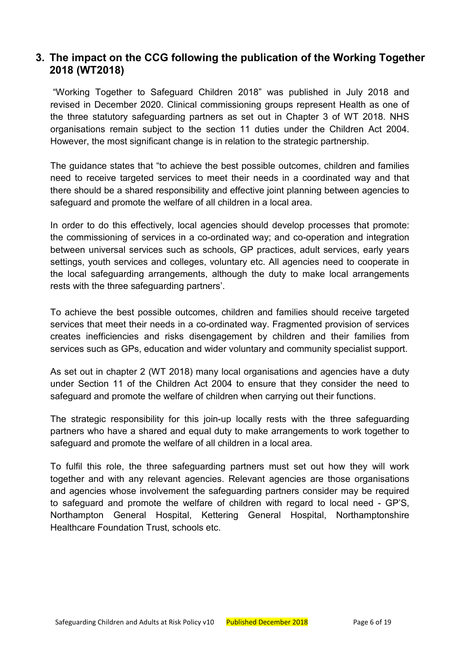#### <span id="page-5-0"></span>**3. The impact on the CCG following the publication of the Working Together 2018 (WT2018)**

"Working Together to Safeguard Children 2018" was published in July 2018 and revised in December 2020. Clinical commissioning groups represent Health as one of the three statutory safeguarding partners as set out in Chapter 3 of WT 2018. NHS organisations remain subject to the section 11 duties under the Children Act 2004. However, the most significant change is in relation to the strategic partnership.

The guidance states that "to achieve the best possible outcomes, children and families need to receive targeted services to meet their needs in a coordinated way and that there should be a shared responsibility and effective joint planning between agencies to safeguard and promote the welfare of all children in a local area.

In order to do this effectively, local agencies should develop processes that promote: the commissioning of services in a co-ordinated way; and co-operation and integration between universal services such as schools, GP practices, adult services, early years settings, youth services and colleges, voluntary etc. All agencies need to cooperate in the local safeguarding arrangements, although the duty to make local arrangements rests with the three safeguarding partners'.

To achieve the best possible outcomes, children and families should receive targeted services that meet their needs in a co-ordinated way. Fragmented provision of services creates inefficiencies and risks disengagement by children and their families from services such as GPs, education and wider voluntary and community specialist support.

As set out in chapter 2 (WT 2018) many local organisations and agencies have a duty under Section 11 of the Children Act 2004 to ensure that they consider the need to safeguard and promote the welfare of children when carrying out their functions.

The strategic responsibility for this join-up locally rests with the three safeguarding partners who have a shared and equal duty to make arrangements to work together to safeguard and promote the welfare of all children in a local area.

To fulfil this role, the three safeguarding partners must set out how they will work together and with any relevant agencies. Relevant agencies are those organisations and agencies whose involvement the safeguarding partners consider may be required to safeguard and promote the welfare of children with regard to local need - GP'S, Northampton General Hospital, Kettering General Hospital, Northamptonshire Healthcare Foundation Trust, schools etc.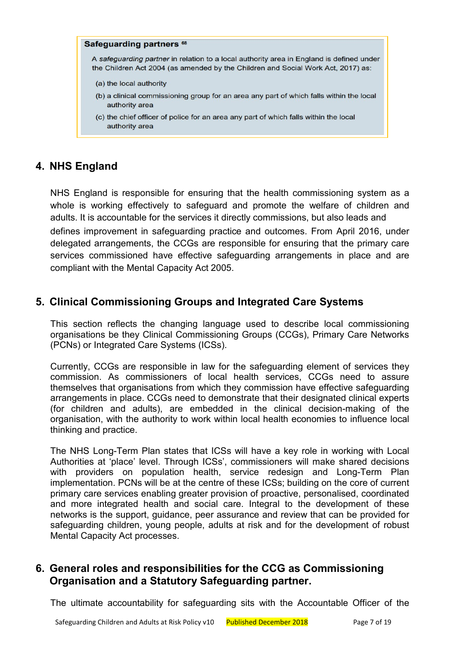#### Safeguarding partners<sup>68</sup>

A safeguarding partner in relation to a local authority area in England is defined under the Children Act 2004 (as amended by the Children and Social Work Act, 2017) as:

- (a) the local authority
- (b) a clinical commissioning group for an area any part of which falls within the local authority area
- (c) the chief officer of police for an area any part of which falls within the local authority area

#### <span id="page-6-0"></span>**4. NHS England**

NHS England is responsible for ensuring that the health commissioning system as a whole is working effectively to safeguard and promote the welfare of children and adults. It is accountable for the services it directly commissions, but also leads and defines improvement in safeguarding practice and outcomes. From April 2016, under delegated arrangements, the CCGs are responsible for ensuring that the primary care services commissioned have effective safeguarding arrangements in place and are compliant with the Mental Capacity Act 2005.

#### <span id="page-6-1"></span>**5. Clinical Commissioning Groups and Integrated Care Systems**

This section reflects the changing language used to describe local commissioning organisations be they Clinical Commissioning Groups (CCGs), Primary Care Networks (PCNs) or Integrated Care Systems (ICSs).

Currently, CCGs are responsible in law for the safeguarding element of services they commission. As commissioners of local health services, CCGs need to assure themselves that organisations from which they commission have effective safeguarding arrangements in place. CCGs need to demonstrate that their designated clinical experts (for children and adults), are embedded in the clinical decision-making of the organisation, with the authority to work within local health economies to influence local thinking and practice.

The NHS Long-Term Plan states that ICSs will have a key role in working with Local Authorities at 'place' level. Through ICSs', commissioners will make shared decisions with providers on population health, service redesign and Long-Term Plan implementation. PCNs will be at the centre of these ICSs; building on the core of current primary care services enabling greater provision of proactive, personalised, coordinated and more integrated health and social care. Integral to the development of these networks is the support, guidance, peer assurance and review that can be provided for safeguarding children, young people, adults at risk and for the development of robust Mental Capacity Act processes.

#### <span id="page-6-2"></span>**6. General roles and responsibilities for the CCG as Commissioning Organisation and a Statutory Safeguarding partner.**

The ultimate accountability for safeguarding sits with the Accountable Officer of the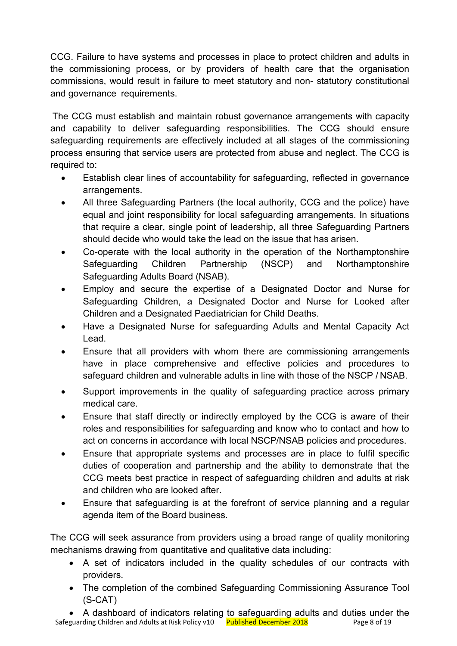CCG. Failure to have systems and processes in place to protect children and adults in the commissioning process, or by providers of health care that the organisation commissions, would result in failure to meet statutory and non- statutory constitutional and governance requirements.

The CCG must establish and maintain robust governance arrangements with capacity and capability to deliver safeguarding responsibilities. The CCG should ensure safeguarding requirements are effectively included at all stages of the commissioning process ensuring that service users are protected from abuse and neglect. The CCG is required to:

- Establish clear lines of accountability for safeguarding, reflected in governance arrangements.
- All three Safeguarding Partners (the local authority, CCG and the police) have equal and joint responsibility for local safeguarding arrangements. In situations that require a clear, single point of leadership, all three Safeguarding Partners should decide who would take the lead on the issue that has arisen.
- Co-operate with the local authority in the operation of the Northamptonshire Safeguarding Children Partnership (NSCP) and Northamptonshire Safeguarding Adults Board (NSAB).
- Employ and secure the expertise of a Designated Doctor and Nurse for Safeguarding Children, a Designated Doctor and Nurse for Looked after Children and a Designated Paediatrician for Child Deaths.
- Have a Designated Nurse for safeguarding Adults and Mental Capacity Act Lead.
- Ensure that all providers with whom there are commissioning arrangements have in place comprehensive and effective policies and procedures to safeguard children and vulnerable adults in line with those of the NSCP / NSAB.
- Support improvements in the quality of safeguarding practice across primary medical care.
- Ensure that staff directly or indirectly employed by the CCG is aware of their roles and responsibilities for safeguarding and know who to contact and how to act on concerns in accordance with local NSCP/NSAB policies and procedures.
- Ensure that appropriate systems and processes are in place to fulfil specific duties of cooperation and partnership and the ability to demonstrate that the CCG meets best practice in respect of safeguarding children and adults at risk and children who are looked after.
- Ensure that safeguarding is at the forefront of service planning and a regular agenda item of the Board business.

The CCG will seek assurance from providers using a broad range of quality monitoring mechanisms drawing from quantitative and qualitative data including:

- A set of indicators included in the quality schedules of our contracts with providers.
- The completion of the combined Safeguarding Commissioning Assurance Tool (S-CAT)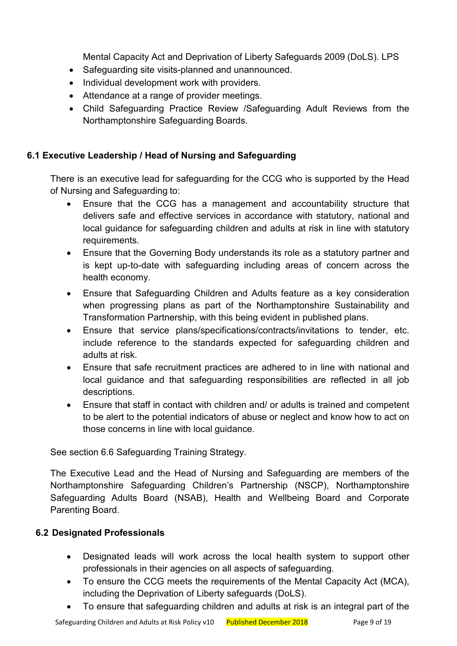Mental Capacity Act and Deprivation of Liberty Safeguards 2009 (DoLS). LPS

- Safeguarding site visits-planned and unannounced.
- Individual development work with providers.
- Attendance at a range of provider meetings.
- Child Safeguarding Practice Review /Safeguarding Adult Reviews from the Northamptonshire Safeguarding Boards.

#### <span id="page-8-0"></span>**6.1 Executive Leadership / Head of Nursing and Safeguarding**

There is an executive lead for safeguarding for the CCG who is supported by the Head of Nursing and Safeguarding to:

- Ensure that the CCG has a management and accountability structure that delivers safe and effective services in accordance with statutory, national and local guidance for safeguarding children and adults at risk in line with statutory requirements.
- Ensure that the Governing Body understands its role as a statutory partner and is kept up-to-date with safeguarding including areas of concern across the health economy.
- Ensure that Safeguarding Children and Adults feature as a key consideration when progressing plans as part of the Northamptonshire Sustainability and Transformation Partnership, with this being evident in published plans.
- Ensure that service plans/specifications/contracts/invitations to tender, etc. include reference to the standards expected for safeguarding children and adults at risk.
- Ensure that safe recruitment practices are adhered to in line with national and local guidance and that safeguarding responsibilities are reflected in all job descriptions.
- Ensure that staff in contact with children and/ or adults is trained and competent to be alert to the potential indicators of abuse or neglect and know how to act on those concerns in line with local guidance.

See section 6.6 Safeguarding Training Strategy.

The Executive Lead and the Head of Nursing and Safeguarding are members of the Northamptonshire Safeguarding Children's Partnership (NSCP), Northamptonshire Safeguarding Adults Board (NSAB), Health and Wellbeing Board and Corporate Parenting Board.

#### <span id="page-8-1"></span>**6.2 Designated Professionals**

- Designated leads will work across the local health system to support other professionals in their agencies on all aspects of safeguarding.
- To ensure the CCG meets the requirements of the Mental Capacity Act (MCA), including the Deprivation of Liberty safeguards (DoLS).
- To ensure that safeguarding children and adults at risk is an integral part of the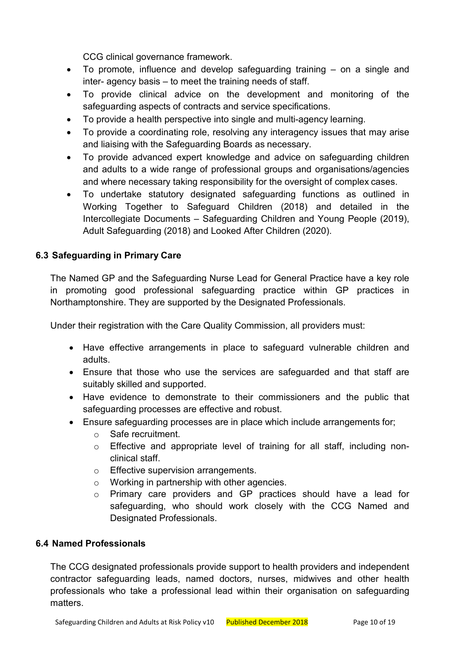CCG clinical governance framework.

- To promote, influence and develop safeguarding training on a single and inter- agency basis – to meet the training needs of staff.
- To provide clinical advice on the development and monitoring of the safeguarding aspects of contracts and service specifications.
- To provide a health perspective into single and multi-agency learning.
- To provide a coordinating role, resolving any interagency issues that may arise and liaising with the Safeguarding Boards as necessary.
- To provide advanced expert knowledge and advice on safeguarding children and adults to a wide range of professional groups and organisations/agencies and where necessary taking responsibility for the oversight of complex cases.
- To undertake statutory designated safeguarding functions as outlined in Working Together to Safeguard Children (2018) and detailed in the Intercollegiate Documents – Safeguarding Children and Young People (2019), Adult Safeguarding (2018) and Looked After Children (2020).

#### <span id="page-9-0"></span>**6.3 Safeguarding in Primary Care**

The Named GP and the Safeguarding Nurse Lead for General Practice have a key role in promoting good professional safeguarding practice within GP practices in Northamptonshire. They are supported by the Designated Professionals.

Under their registration with the Care Quality Commission, all providers must:

- Have effective arrangements in place to safeguard vulnerable children and adults.
- Ensure that those who use the services are safeguarded and that staff are suitably skilled and supported.
- Have evidence to demonstrate to their commissioners and the public that safeguarding processes are effective and robust.
- Ensure safeguarding processes are in place which include arrangements for;
	- o Safe recruitment.
	- o Effective and appropriate level of training for all staff, including nonclinical staff.
	- o Effective supervision arrangements.
	- o Working in partnership with other agencies.
	- o Primary care providers and GP practices should have a lead for safeguarding, who should work closely with the CCG Named and Designated Professionals.

#### <span id="page-9-1"></span>**6.4 Named Professionals**

The CCG designated professionals provide support to health providers and independent contractor safeguarding leads, named doctors, nurses, midwives and other health professionals who take a professional lead within their organisation on safeguarding matters.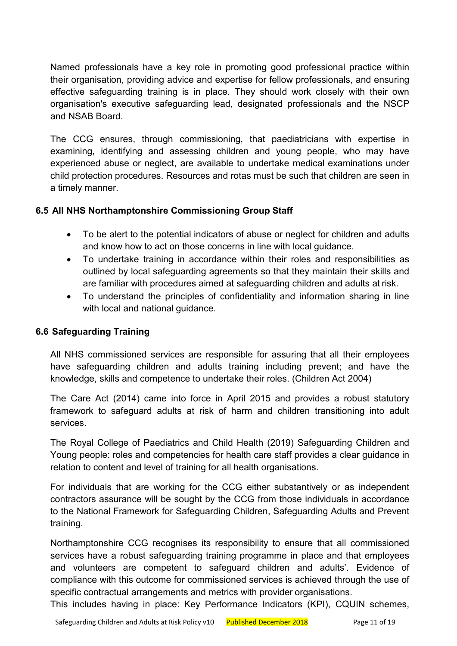Named professionals have a key role in promoting good professional practice within their organisation, providing advice and expertise for fellow professionals, and ensuring effective safeguarding training is in place. They should work closely with their own organisation's executive safeguarding lead, designated professionals and the NSCP and NSAB Board.

The CCG ensures, through commissioning, that paediatricians with expertise in examining, identifying and assessing children and young people, who may have experienced abuse or neglect, are available to undertake medical examinations under child protection procedures. Resources and rotas must be such that children are seen in a timely manner.

#### <span id="page-10-0"></span>**6.5 All NHS Northamptonshire Commissioning Group Staff**

- To be alert to the potential indicators of abuse or neglect for children and adults and know how to act on those concerns in line with local guidance.
- To undertake training in accordance within their roles and responsibilities as outlined by local safeguarding agreements so that they maintain their skills and are familiar with procedures aimed at safeguarding children and adults at risk.
- To understand the principles of confidentiality and information sharing in line with local and national guidance.

#### <span id="page-10-1"></span>**6.6 Safeguarding Training**

All NHS commissioned services are responsible for assuring that all their employees have safeguarding children and adults training including prevent; and have the knowledge, skills and competence to undertake their roles. (Children Act 2004)

The Care Act (2014) came into force in April 2015 and provides a robust statutory framework to safeguard adults at risk of harm and children transitioning into adult services.

The Royal College of Paediatrics and Child Health (2019) Safeguarding Children and Young people: roles and competencies for health care staff provides a clear guidance in relation to content and level of training for all health organisations.

For individuals that are working for the CCG either substantively or as independent contractors assurance will be sought by the CCG from those individuals in accordance to the National Framework for Safeguarding Children, Safeguarding Adults and Prevent training.

Northamptonshire CCG recognises its responsibility to ensure that all commissioned services have a robust safeguarding training programme in place and that employees and volunteers are competent to safeguard children and adults'. Evidence of compliance with this outcome for commissioned services is achieved through the use of specific contractual arrangements and metrics with provider organisations.

This includes having in place: Key Performance Indicators (KPI), CQUIN schemes,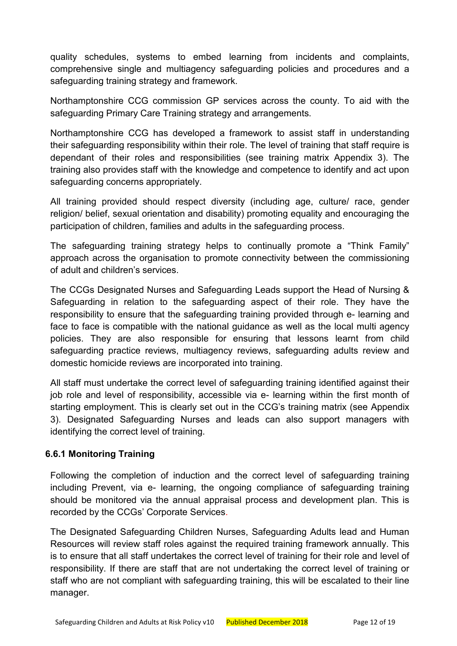quality schedules, systems to embed learning from incidents and complaints, comprehensive single and multiagency safeguarding policies and procedures and a safeguarding training strategy and framework.

Northamptonshire CCG commission GP services across the county. To aid with the safeguarding Primary Care Training strategy and arrangements.

Northamptonshire CCG has developed a framework to assist staff in understanding their safeguarding responsibility within their role. The level of training that staff require is dependant of their roles and responsibilities (see training matrix Appendix 3). The training also provides staff with the knowledge and competence to identify and act upon safeguarding concerns appropriately.

All training provided should respect diversity (including age, culture/ race, gender religion/ belief, sexual orientation and disability) promoting equality and encouraging the participation of children, families and adults in the safeguarding process.

The safeguarding training strategy helps to continually promote a "Think Family" approach across the organisation to promote connectivity between the commissioning of adult and children's services.

The CCGs Designated Nurses and Safeguarding Leads support the Head of Nursing & Safeguarding in relation to the safeguarding aspect of their role. They have the responsibility to ensure that the safeguarding training provided through e- learning and face to face is compatible with the national guidance as well as the local multi agency policies. They are also responsible for ensuring that lessons learnt from child safeguarding practice reviews, multiagency reviews, safeguarding adults review and domestic homicide reviews are incorporated into training.

All staff must undertake the correct level of safeguarding training identified against their job role and level of responsibility, accessible via e- learning within the first month of starting employment. This is clearly set out in the CCG's training matrix (see Appendix 3). Designated Safeguarding Nurses and leads can also support managers with identifying the correct level of training.

#### <span id="page-11-0"></span>**6.6.1 Monitoring Training**

Following the completion of induction and the correct level of safeguarding training including Prevent, via e- learning, the ongoing compliance of safeguarding training should be monitored via the annual appraisal process and development plan. This is recorded by the CCGs' Corporate Services.

The Designated Safeguarding Children Nurses, Safeguarding Adults lead and Human Resources will review staff roles against the required training framework annually. This is to ensure that all staff undertakes the correct level of training for their role and level of responsibility. If there are staff that are not undertaking the correct level of training or staff who are not compliant with safeguarding training, this will be escalated to their line manager.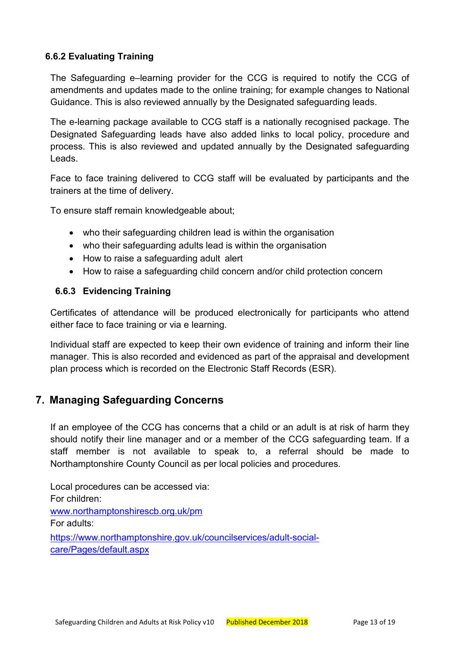#### <span id="page-12-0"></span>**6.6.2 Evaluating Training**

The Safeguarding e–learning provider for the CCG is required to notify the CCG of amendments and updates made to the online training; for example changes to National Guidance. This is also reviewed annually by the Designated safeguarding leads.

The e-learning package available to CCG staff is a nationally recognised package. The Designated Safeguarding leads have also added links to local policy, procedure and process. This is also reviewed and updated annually by the Designated safeguarding Leads.

Face to face training delivered to CCG staff will be evaluated by participants and the trainers at the time of delivery.

To ensure staff remain knowledgeable about;

- who their safeguarding children lead is within the organisation
- who their safeguarding adults lead is within the organisation
- How to raise a safeguarding adult alert
- How to raise a safeguarding child concern and/or child protection concern

#### <span id="page-12-1"></span>**6.6.3 Evidencing Training**

Certificates of attendance will be produced electronically for participants who attend either face to face training or via e learning.

Individual staff are expected to keep their own evidence of training and inform their line manager. This is also recorded and evidenced as part of the appraisal and development plan process which is recorded on the Electronic Staff Records (ESR).

# <span id="page-12-2"></span>**7. Managing Safeguarding Concerns**

If an employee of the CCG has concerns that a child or an adult is at risk of harm they should notify their line manager and or a member of the CCG safeguarding team. If a staff member is not available to speak to, a referral should be made to Northamptonshire County Council as per local policies and procedures.

Local procedures can be accessed via: For children: [www.northamptonshirescb.org.uk/pm](http://www.northamptonshirescb.org.uk/pm) For adults: [https://www.northamptonshire.gov.uk/councilservices/adult-social](https://www.northamptonshire.gov.uk/councilservices/adult-social-care/Pages/default.aspx)[care/Pages/default.aspx](https://www.northamptonshire.gov.uk/councilservices/adult-social-care/Pages/default.aspx)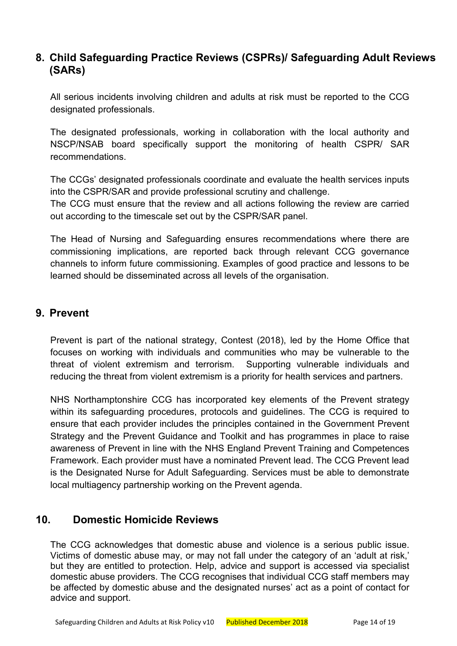#### <span id="page-13-0"></span>**8. Child Safeguarding Practice Reviews (CSPRs)/ Safeguarding Adult Reviews (SARs)**

All serious incidents involving children and adults at risk must be reported to the CCG designated professionals.

The designated professionals, working in collaboration with the local authority and NSCP/NSAB board specifically support the monitoring of health CSPR/ SAR recommendations.

The CCGs' designated professionals coordinate and evaluate the health services inputs into the CSPR/SAR and provide professional scrutiny and challenge.

The CCG must ensure that the review and all actions following the review are carried out according to the timescale set out by the CSPR/SAR panel.

The Head of Nursing and Safeguarding ensures recommendations where there are commissioning implications, are reported back through relevant CCG governance channels to inform future commissioning. Examples of good practice and lessons to be learned should be disseminated across all levels of the organisation.

#### <span id="page-13-1"></span>**9. Prevent**

Prevent is part of the national strategy, Contest (2018), led by the Home Office that focuses on working with individuals and communities who may be vulnerable to the threat of violent extremism and terrorism. Supporting vulnerable individuals and reducing the threat from violent extremism is a priority for health services and partners.

NHS Northamptonshire CCG has incorporated key elements of the Prevent strategy within its safeguarding procedures, protocols and guidelines. The CCG is required to ensure that each provider includes the principles contained in the Government Prevent Strategy and the Prevent Guidance and Toolkit and has programmes in place to raise awareness of Prevent in line with the NHS England Prevent Training and Competences Framework. Each provider must have a nominated Prevent lead. The CCG Prevent lead is the Designated Nurse for Adult Safeguarding. Services must be able to demonstrate local multiagency partnership working on the Prevent agenda.

# <span id="page-13-2"></span>**10. Domestic Homicide Reviews**

The CCG acknowledges that domestic abuse and violence is a serious public issue. Victims of domestic abuse may, or may not fall under the category of an 'adult at risk,' but they are entitled to protection. Help, advice and support is accessed via specialist domestic abuse providers. The CCG recognises that individual CCG staff members may be affected by domestic abuse and the designated nurses' act as a point of contact for advice and support.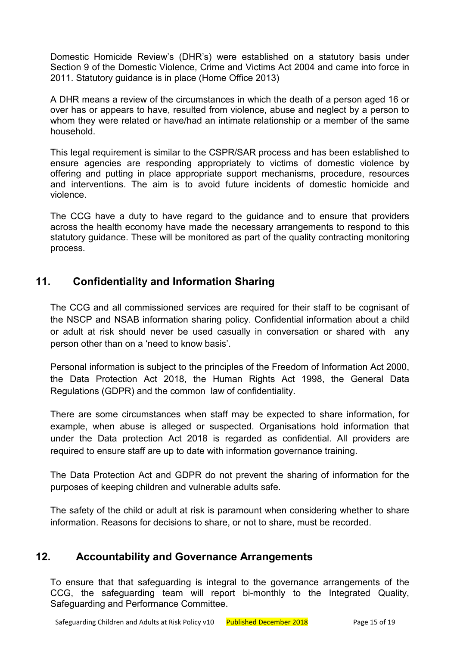Domestic Homicide Review's (DHR's) were established on a statutory basis under Section 9 of the Domestic Violence, Crime and Victims Act 2004 and came into force in 2011. Statutory guidance is in place (Home Office 2013)

A DHR means a review of the circumstances in which the death of a person aged 16 or over has or appears to have, resulted from violence, abuse and neglect by a person to whom they were related or have/had an intimate relationship or a member of the same household.

This legal requirement is similar to the CSPR/SAR process and has been established to ensure agencies are responding appropriately to victims of domestic violence by offering and putting in place appropriate support mechanisms, procedure, resources and interventions. The aim is to avoid future incidents of domestic homicide and violence.

The CCG have a duty to have regard to the guidance and to ensure that providers across the health economy have made the necessary arrangements to respond to this statutory guidance. These will be monitored as part of the quality contracting monitoring process.

# <span id="page-14-0"></span>**11. Confidentiality and Information Sharing**

The CCG and all commissioned services are required for their staff to be cognisant of the NSCP and NSAB information sharing policy. Confidential information about a child or adult at risk should never be used casually in conversation or shared with any person other than on a 'need to know basis'.

Personal information is subject to the principles of the Freedom of Information Act 2000, the Data Protection Act 2018, the Human Rights Act 1998, the General Data Regulations (GDPR) and the common law of confidentiality.

There are some circumstances when staff may be expected to share information, for example, when abuse is alleged or suspected. Organisations hold information that under the Data protection Act 2018 is regarded as confidential. All providers are required to ensure staff are up to date with information governance training.

The Data Protection Act and GDPR do not prevent the sharing of information for the purposes of keeping children and vulnerable adults safe.

The safety of the child or adult at risk is paramount when considering whether to share information. Reasons for decisions to share, or not to share, must be recorded.

# **12. Accountability and Governance Arrangements**

<span id="page-14-1"></span>To ensure that that safeguarding is integral to the governance arrangements of the CCG, the safeguarding team will report bi-monthly to the Integrated Quality, Safeguarding and Performance Committee.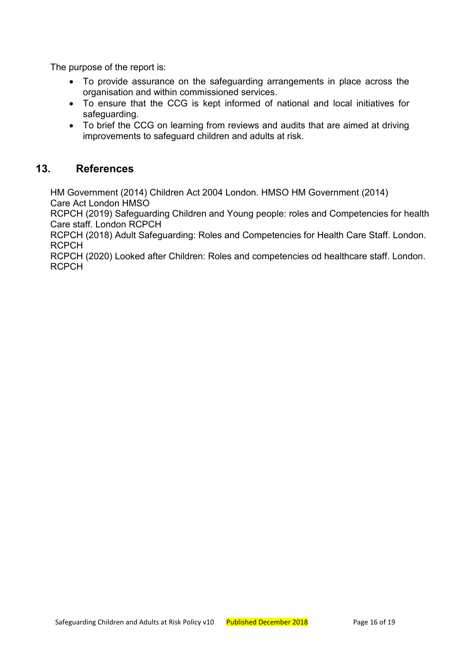The purpose of the report is:

- To provide assurance on the safeguarding arrangements in place across the organisation and within commissioned services.
- To ensure that the CCG is kept informed of national and local initiatives for safeguarding.
- To brief the CCG on learning from reviews and audits that are aimed at driving improvements to safeguard children and adults at risk.

#### **13. References**

<span id="page-15-0"></span>HM Government (2014) Children Act 2004 London. HMSO HM Government (2014) Care Act London HMSO

RCPCH (2019) Safeguarding Children and Young people: roles and Competencies for health Care staff. London RCPCH

RCPCH (2018) Adult Safeguarding: Roles and Competencies for Health Care Staff. London. RCPCH

RCPCH (2020) Looked after Children: Roles and competencies od healthcare staff. London. RCPCH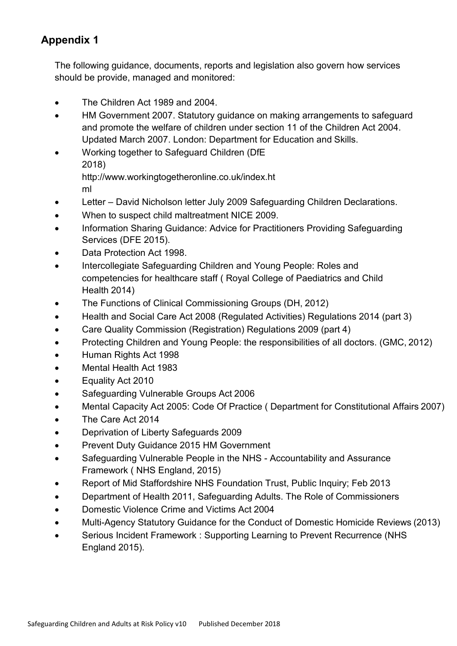# <span id="page-16-0"></span>**Appendix 1**

The following guidance, documents, reports and legislation also govern how services should be provide, managed and monitored:

- The Children Act 1989 and 2004.
- HM Government 2007. Statutory guidance on making arrangements to safeguard and promote the welfare of children under section 11 of the Children Act 2004. Updated March 2007. London: Department for Education and Skills.
- Working together to Safeguard Children (DfE 2018) [http://www.workingtogetheronline.co.uk/index.ht](http://www.workingtogetheronline.co.uk/index.html) [ml](http://www.workingtogetheronline.co.uk/index.html)
- Letter David Nicholson letter July 2009 Safeguarding Children Declarations.
- When to suspect child maltreatment NICE 2009.
- Information Sharing Guidance: Advice for Practitioners Providing Safeguarding Services (DFE 2015).
- Data Protection Act 1998.
- Intercollegiate Safeguarding Children and Young People: Roles and competencies for healthcare staff ( Royal College of Paediatrics and Child Health 2014)
- The Functions of Clinical Commissioning Groups (DH, 2012)
- Health and Social Care Act 2008 (Regulated Activities) Regulations 2014 (part 3)
- Care Quality Commission (Registration) Regulations 2009 (part 4)
- Protecting Children and Young People: the responsibilities of all doctors. (GMC, 2012)
- Human Rights Act 1998
- Mental Health Act 1983
- Equality Act 2010
- Safeguarding Vulnerable Groups Act 2006
- Mental Capacity Act 2005: Code Of Practice ( Department for Constitutional Affairs 2007)
- The Care Act 2014
- Deprivation of Liberty Safeguards 2009
- Prevent Duty Guidance 2015 HM Government
- Safeguarding Vulnerable People in the NHS Accountability and Assurance Framework ( NHS England, 2015)
- Report of Mid Staffordshire NHS Foundation Trust, Public Inquiry; Feb 2013
- Department of Health 2011, Safeguarding Adults. The Role of Commissioners
- Domestic Violence Crime and Victims Act 2004
- Multi-Agency Statutory Guidance for the Conduct of Domestic Homicide Reviews (2013)
- Serious Incident Framework : Supporting Learning to Prevent Recurrence (NHS England 2015).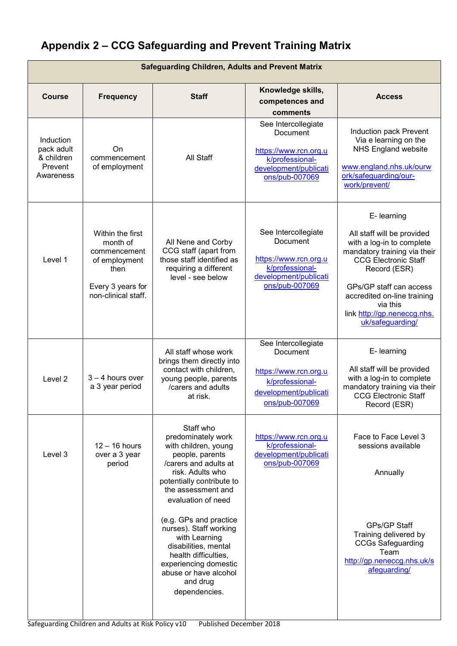# <span id="page-17-0"></span>**Appendix 2 – CCG Safeguarding and Prevent Training Matrix**

| <b>Safeguarding Children, Adults and Prevent Matrix</b>       |                                                                                                                   |                                                                                                                                                                                                  |                                                                                                                        |                                                                                                                                                                                                                                                                                |  |  |  |
|---------------------------------------------------------------|-------------------------------------------------------------------------------------------------------------------|--------------------------------------------------------------------------------------------------------------------------------------------------------------------------------------------------|------------------------------------------------------------------------------------------------------------------------|--------------------------------------------------------------------------------------------------------------------------------------------------------------------------------------------------------------------------------------------------------------------------------|--|--|--|
| <b>Course</b>                                                 | <b>Frequency</b>                                                                                                  | <b>Staff</b>                                                                                                                                                                                     | Knowledge skills,<br>competences and<br>comments                                                                       | <b>Access</b>                                                                                                                                                                                                                                                                  |  |  |  |
| Induction<br>pack adult<br>& children<br>Prevent<br>Awareness | On.<br>commencement<br>of employment                                                                              | All Staff                                                                                                                                                                                        | See Intercollegiate<br>Document<br>https://www.rcn.org.u<br>k/professional-<br>development/publicati<br>ons/pub-007069 | Induction pack Prevent<br>Via e learning on the<br><b>NHS England website</b><br>www.england.nhs.uk/ourw<br>ork/safeguarding/our-<br>work/prevent/                                                                                                                             |  |  |  |
| Level 1                                                       | Within the first<br>month of<br>commencement<br>of employment<br>then<br>Every 3 years for<br>non-clinical staff. | All Nene and Corby<br>CCG staff (apart from<br>those staff identified as<br>requiring a different<br>level - see below                                                                           | See Intercollegiate<br>Document<br>https://www.rcn.org.u<br>k/professional-<br>development/publicati<br>ons/pub-007069 | E- learning<br>All staff will be provided<br>with a log-in to complete<br>mandatory training via their<br><b>CCG Electronic Staff</b><br>Record (ESR)<br>GPs/GP staff can access<br>accredited on-line training<br>via this<br>link http://gp.neneccg.nhs.<br>uk/safeguarding/ |  |  |  |
| Level 2                                                       | $3 - 4$ hours over<br>a 3 year period                                                                             | All staff whose work<br>brings them directly into<br>contact with children,<br>young people, parents<br>/carers and adults<br>at risk.                                                           | See Intercollegiate<br>Document<br>https://www.rcn.org.u<br>k/professional-<br>development/publicati<br>ons/pub-007069 | E- learning<br>All staff will be provided<br>with a log-in to complete<br>mandatory training via their<br><b>CCG Electronic Staff</b><br>Record (ESR)                                                                                                                          |  |  |  |
| Level 3                                                       | $12 - 16$ hours<br>over a 3 year<br>period                                                                        | Staff who<br>predominately work<br>with children, young<br>people, parents<br>/carers and adults at<br>risk. Adults who<br>potentially contribute to<br>the assessment and<br>evaluation of need | https://www.rcn.org.u<br>k/professional-<br>development/publicati<br>ons/pub-007069                                    | Face to Face Level 3<br>sessions available<br>Annually                                                                                                                                                                                                                         |  |  |  |
|                                                               |                                                                                                                   | (e.g. GPs and practice<br>nurses). Staff working<br>with Learning<br>disabilities, mental<br>health difficulties,<br>experiencing domestic<br>abuse or have alcohol<br>and drug<br>dependencies. |                                                                                                                        | <b>GPs/GP Staff</b><br>Training delivered by<br><b>CCGs Safeguarding</b><br>Team<br>http://gp.neneccg.nhs.uk/s<br>afeguarding/                                                                                                                                                 |  |  |  |